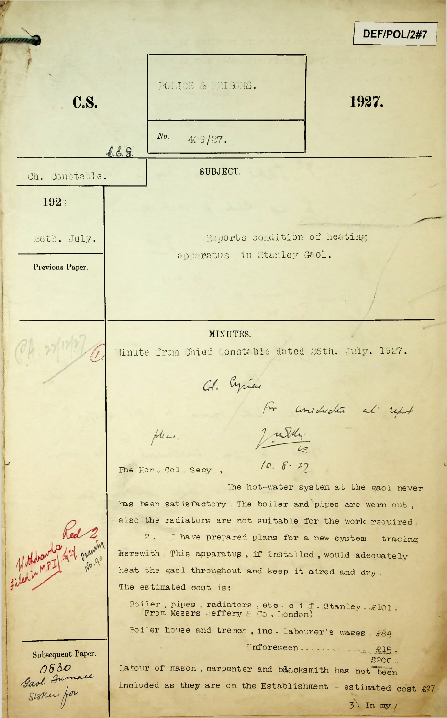*DEF/POL/2#7* J POLICE & RISONS. C.S. 1927. *No.*  $409/27$ .  $6.6.5.$ Ch. Constable. SUBJECT. 1927 26th. July. Reports condition of heating an maratus in Stanley Gaol. Previous Paper. **/** MINUTES. Minute from Chief Constable dated 26th. July. 1927.  $\mathcal{T}_{\lambda}$ Col. Cyricus  $\int_{0}^{\infty}$  consideration and report July. please.  $10.8.27$ The Hon, Col. Secy., The hot-water system at the gaol never has been satisfactory- The boiler and pipes are worn out , also the radiators are not suitable for the work required - 2. I have prepared plans for a new system - tracing herewith - This apparatus , if installed , would adequately heat the gaol throughout and keep it aired and dry . The estimated cost is:-Boiler, pipes, radiators, etc. c i f, Stanley, £101 From Messrs effery & Co, London) Boiler house and trench , inc . labourer'<sup>s</sup> wages , £84 Unforeseen.... *\_\_* £15 , Subsequent Paper. £200 . labour of mason, carpenter and baacksmith has not been 0830<br>Gaol Jumaie<br>Stoker for included as they are on the Establishment - estimated cost  $£27$ 3'- In my/'

I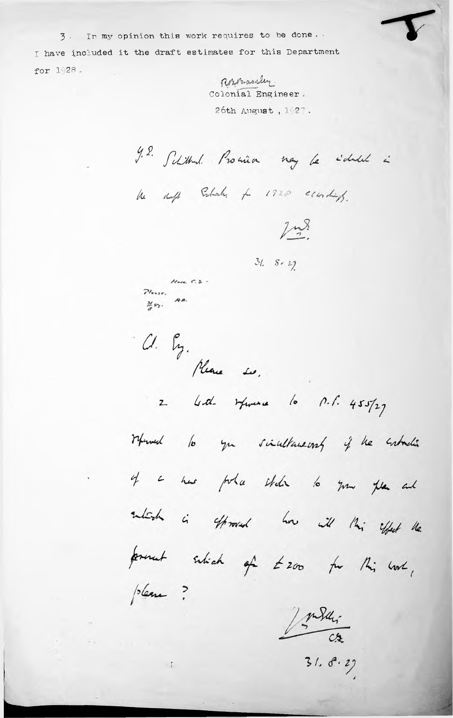3. In my opinion this work requires to be done. I have included it the draft estimates for this Department for 1928.

Rossanley. Colonial Engineer. 26th August, 1927.

J. S. Schittend. Promin noy be identit in

he duff Schoch + 1920 conding.

 $1/2$ 

 $318 - 52$ 

 $H_{\text{env.}} C.S.$  $7$ lesse.  $\frac{31}{2}$ sy.

 $\sqrt{1}$ 

Cl. Py.<br>Mare su.

2 God Huma la n.l. 455/27

Whend to you sincellaneous if he cubachin of a has pole etch to your plan and sultish is offroved how ill this offert the forment sitich of £200 for this work, please?

Inda:

 $31.8.27$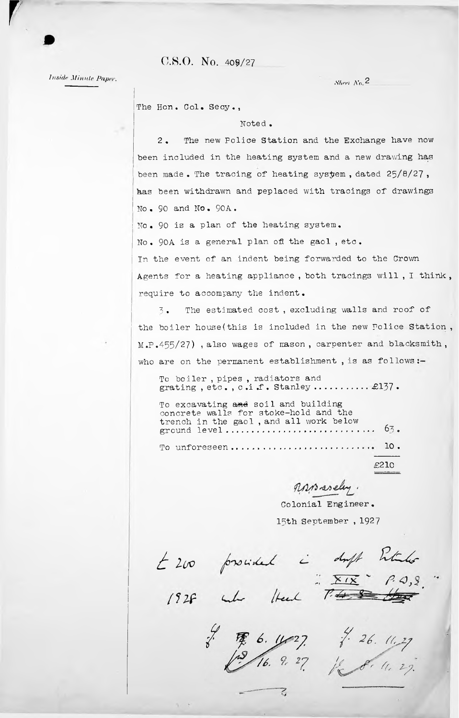$C.S.O.$  No. 409/27

*Inside Minute Paper*.

**r** 

*Sked* A'o. 2

The Hon. Col. Secy.,

## Noted •

2 . The new Police Station and the Exchange have now been included in the heating system and a new drawing has has been withdrawn and peplaced with tracings of drawings No• 90 and No • 90A • been made. The tracing of heating system, dated  $25/8/27$ ,

<sup>i</sup> No. 90 is a plan of the heating system.

No. 90A is a general plan of the gaol , etc.

In the event of an indent being forwarded to the Crown Agents for a heating appliance , both tracings will , I think , require to accompany the indent.

*y* The estimated cost, excluding walls and roof of the boiler house (this is included in the new Police Station, M.P.455/27) , also wages of mason, carpenter and blacksmith, who are on the permanent establishment, is as follows:-

grating , etc., c.i.f. Stanley ............ £137. To boiler , pipes , radiators and

63 • To unforeseen.............................  $10.$ To excavating and soil and building concrete walls for stoke-hold and the concrete waits for stoke-hold and the trench in the gaol, and all work below ground level ............................

£210

Z

Rosaseley.

15th September , 1927 Colonial Engineer.

*É* 200 provided à duft Petales<br>1928 aube Head 7<del>48 Ma</del>

 $\gamma_{\perp}=\lambda$ 

 $\begin{array}{ccccccccc} \frac{1}{6} & \frac{1}{16} & \frac{6}{16} & \frac{1}{27} & \frac{1}{16} & \frac{1}{16} & \frac{1}{16} & \frac{1}{16} & \frac{1}{16} & \frac{1}{16} & \frac{1}{16} & \frac{1}{16} & \frac{1}{16} & \frac{1}{16} & \frac{1}{16} & \frac{1}{16} & \frac{1}{16} & \frac{1}{16} & \frac{1}{16} & \frac{1}{16} & \frac{1}{16} & \frac{1}{16} & \frac{1}{16} & \frac{1}{$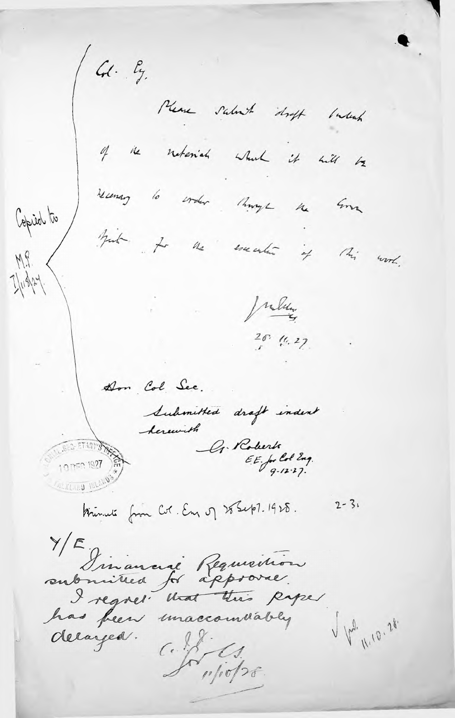$4. \, g.$ Please salut draft latent of the natural what it will be recenary to corder things the Some Copied to hait it the execution of this work.  $M_{S}$  $1/118/27$ Julia  $\frac{20}{1}$  (1.27) Don Col. See. Submitted draft indext herewith G. Roberts  $E E$ , for lot Eng.<br>9.12.27. 07701927 Krimuli from Col. En of 28 Sept. 1928.  $2 - 31$ YE, sinancial Requierion I regret that this paper has feen unaccommably V 12. 10.28. delayed.  $C.\%$  $10/10/26$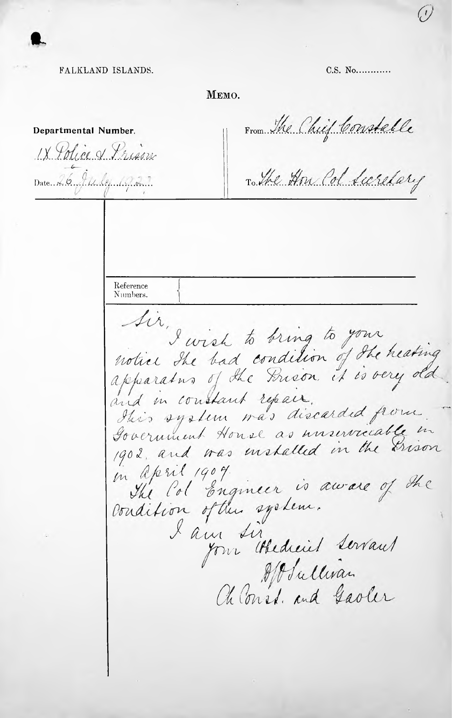FALKLAND ISLANDS.

MEMO.

From The Chief Constable Departmental Number. IX Police & Prison To the How Col Surelary Date 26, 94, le 1027 Reference Numbers. I wish to bring to your<br>notice the bad condition of the heating<br>apparatus of the Prison, it is very old. and in constant repair. Itis system was discarded from. Government House as unservicable in 1902, and was installed in the Grison in april 1904.<br>The Col Engineer is aware of the I am sir four Abedreit Levaus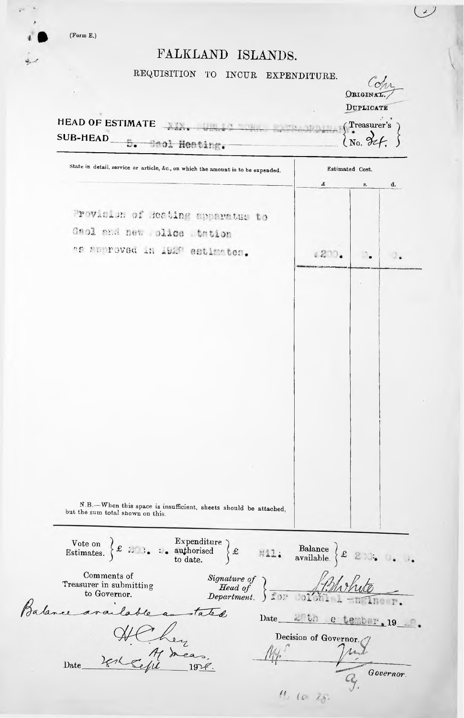$(Form E.)$ 

برني

## FALKLAND ISLANDS.

REQUISITION TO INCUR EXPENDITURE.

| State in detail, service or article, &c., on which the amount is to be expended.                                                                                                                           | Estimated Cost.<br>£<br>8.<br>d.                            |  |  |
|------------------------------------------------------------------------------------------------------------------------------------------------------------------------------------------------------------|-------------------------------------------------------------|--|--|
| Provision of Reating apparatus to<br>Gaol and new plice tation<br>as andreved in 1928 estimates.                                                                                                           | 1220                                                        |  |  |
|                                                                                                                                                                                                            |                                                             |  |  |
|                                                                                                                                                                                                            |                                                             |  |  |
|                                                                                                                                                                                                            |                                                             |  |  |
|                                                                                                                                                                                                            |                                                             |  |  |
|                                                                                                                                                                                                            |                                                             |  |  |
|                                                                                                                                                                                                            |                                                             |  |  |
|                                                                                                                                                                                                            |                                                             |  |  |
|                                                                                                                                                                                                            |                                                             |  |  |
|                                                                                                                                                                                                            |                                                             |  |  |
| N.B .- When this space is insufficient, sheets should be attached,<br>but the sum total shown on this.                                                                                                     |                                                             |  |  |
| Vote on $\left\{ \mathcal{L} \right\}$ : $\left\{ \mathcal{L} \right\}$ : $\left\{ \mathcal{L} \right\}$ authorised $\left\{ \mathcal{L} \right\}$ $\mathcal{L}$ authorised $\left\{ \mathcal{L} \right\}$ | <b>Example 111:</b> Balance $\left\{\text{\pounds}\right\}$ |  |  |
| Comments of<br>Signature of<br>Head of<br>Department.<br>Treasurer in submitting<br>to Governor.                                                                                                           |                                                             |  |  |

Date Verlegie 1978.

|  | Decision of Governor. |           |
|--|-----------------------|-----------|
|  |                       |           |
|  |                       | Governor. |
|  |                       |           |

 $\omega$